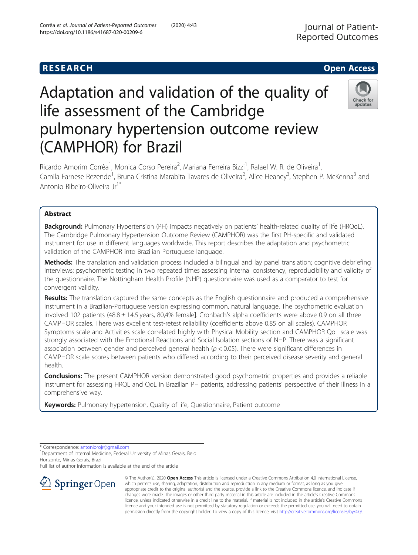# Adaptation and validation of the quality of life assessment of the Cambridge pulmonary hypertension outcome review (CAMPHOR) for Brazil



Ricardo Amorim Corrêa<sup>1</sup>, Monica Corso Pereira<sup>2</sup>, Mariana Ferreira Bizzi<sup>1</sup>, Rafael W. R. de Oliveira<sup>1</sup> , Camila Farnese Rezende<sup>1</sup>, Bruna Cristina Marabita Tavares de Oliveira<sup>2</sup>, Alice Heaney<sup>3</sup>, Stephen P. McKenna<sup>3</sup> and Antonio Ribeiro-Oliveira Jr<sup>1\*</sup>

# Abstract

Background: Pulmonary Hypertension (PH) impacts negatively on patients' health-related quality of life (HRQoL). The Cambridge Pulmonary Hypertension Outcome Review (CAMPHOR) was the first PH-specific and validated instrument for use in different languages worldwide. This report describes the adaptation and psychometric validation of the CAMPHOR into Brazilian Portuguese language.

Methods: The translation and validation process included a bilingual and lay panel translation; cognitive debriefing interviews; psychometric testing in two repeated times assessing internal consistency, reproducibility and validity of the questionnaire. The Nottingham Health Profile (NHP) questionnaire was used as a comparator to test for convergent validity.

Results: The translation captured the same concepts as the English questionnaire and produced a comprehensive instrument in a Brazilian-Portuguese version expressing common, natural language. The psychometric evaluation involved 102 patients (48.8 ± 14.5 years, 80,4% female]. Cronbach's alpha coefficients were above 0.9 on all three CAMPHOR scales. There was excellent test-retest reliability (coefficients above 0.85 on all scales). CAMPHOR Symptoms scale and Activities scale correlated highly with Physical Mobility section and CAMPHOR QoL scale was strongly associated with the Emotional Reactions and Social Isolation sections of NHP. There was a significant association between gender and perceived general health ( $p < 0.05$ ). There were significant differences in CAMPHOR scale scores between patients who differed according to their perceived disease severity and general health.

**Conclusions:** The present CAMPHOR version demonstrated good psychometric properties and provides a reliable instrument for assessing HRQL and QoL in Brazilian PH patients, addressing patients' perspective of their illness in a comprehensive way.

Keywords: Pulmonary hypertension, Quality of life, Questionnaire, Patient outcome

\* Correspondence: [antoniorojr@gmail.com](mailto:antoniorojr@gmail.com) <sup>1</sup>

<sup>1</sup> Department of Internal Medicine, Federal University of Minas Gerais, Belo Horizonte, Minas Gerais, Brazil

Full list of author information is available at the end of the article



© The Author(s). 2020 Open Access This article is licensed under a Creative Commons Attribution 4.0 International License, which permits use, sharing, adaptation, distribution and reproduction in any medium or format, as long as you give appropriate credit to the original author(s) and the source, provide a link to the Creative Commons licence, and indicate if changes were made. The images or other third party material in this article are included in the article's Creative Commons licence, unless indicated otherwise in a credit line to the material. If material is not included in the article's Creative Commons licence and your intended use is not permitted by statutory regulation or exceeds the permitted use, you will need to obtain permission directly from the copyright holder. To view a copy of this licence, visit <http://creativecommons.org/licenses/by/4.0/>.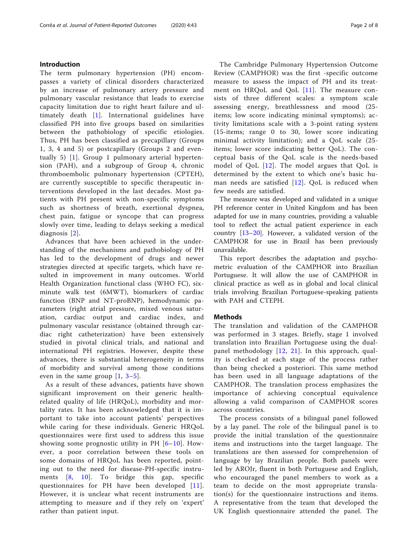# Introduction

The term pulmonary hypertension (PH) encompasses a variety of clinical disorders characterized by an increase of pulmonary artery pressure and pulmonary vascular resistance that leads to exercise capacity limitation due to right heart failure and ultimately death [\[1\]](#page-7-0). International guidelines have classified PH into five groups based on similarities between the pathobiology of specific etiologies. Thus, PH has been classified as precapillary (Groups 1, 3, 4 and 5) or postcapillary (Groups 2 and eventually 5) [[1\]](#page-7-0). Group 1 pulmonary arterial hypertension (PAH), and a subgroup of Group 4, chronic thromboembolic pulmonary hypertension (CPTEH), are currently susceptible to specific therapeutic interventions developed in the last decades. Most patients with PH present with non-specific symptoms such as shortness of breath, exertional dyspnea, chest pain, fatigue or syncope that can progress slowly over time, leading to delays seeking a medical diagnosis [[2\]](#page-7-0).

Advances that have been achieved in the understanding of the mechanisms and pathobiology of PH has led to the development of drugs and newer strategies directed at specific targets, which have resulted in improvement in many outcomes. World Health Organization functional class (WHO FC), sixminute walk test (6MWT), biomarkers of cardiac function (BNP and NT-proBNP), hemodynamic parameters (right atrial pressure, mixed venous saturation, cardiac output and cardiac index, and pulmonary vascular resistance (obtained through cardiac right catheterization) have been extensively studied in pivotal clinical trials, and national and international PH registries. However, despite these advances, there is substantial heterogeneity in terms of morbidity and survival among those conditions even in the same group  $[1, 3-5]$  $[1, 3-5]$  $[1, 3-5]$  $[1, 3-5]$  $[1, 3-5]$  $[1, 3-5]$ .

As a result of these advances, patients have shown significant improvement on their generic healthrelated quality of life (HRQoL), morbidity and mortality rates. It has been acknowledged that it is important to take into account patients' perspectives while caring for these individuals. Generic HRQoL questionnaires were first used to address this issue showing some prognostic utility in PH  $[6–10]$  $[6–10]$  $[6–10]$  $[6–10]$ . However, a poor correlation between these tools on some domains of HRQoL has been reported, pointing out to the need for disease-PH-specific instruments [[8](#page-7-0), [10\]](#page-7-0). To bridge this gap, specific questionnaires for PH have been developed [[11\]](#page-7-0). However, it is unclear what recent instruments are attempting to measure and if they rely on 'expert' rather than patient input.

The Cambridge Pulmonary Hypertension Outcome Review (CAMPHOR) was the first -specific outcome measure to assess the impact of PH and its treat-ment on HRQoL and QoL [[11](#page-7-0)]. The measure consists of three different scales: a symptom scale assessing energy, breathlessness and mood (25 items; low score indicating minimal symptoms); activity limitations scale with a 3-point rating system (15-items; range 0 to 30, lower score indicating minimal activity limitation); and a QoL scale (25 items; lower score indicating better QoL). The conceptual basis of the QoL scale is the needs-based model of QoL [[12](#page-7-0)]. The model argues that QoL is determined by the extent to which one's basic human needs are satisfied  $[12]$ . QoL is reduced when few needs are satisfied.

The measure was developed and validated in a unique PH reference center in United Kingdom and has been adapted for use in many countries, providing a valuable tool to reflect the actual patient experience in each country [[13](#page-7-0)–[20](#page-7-0)]. However, a validated version of the CAMPHOR for use in Brazil has been previously unavailable.

This report describes the adaptation and psychometric evaluation of the CAMPHOR into Brazilian Portuguese. It will allow the use of CAMPHOR in clinical practice as well as in global and local clinical trials involving Brazilian Portuguese-speaking patients with PAH and CTEPH.

# **Methods**

The translation and validation of the CAMPHOR was performed in 3 stages. Briefly, stage 1 involved translation into Brazilian Portuguese using the dualpanel methodology [[12](#page-7-0), [21\]](#page-7-0). In this approach, quality is checked at each stage of the process rather than being checked a posteriori. This same method has been used in all language adaptations of the CAMPHOR. The translation process emphasizes the importance of achieving conceptual equivalence allowing a valid comparison of CAMPHOR scores across countries.

The process consists of a bilingual panel followed by a lay panel. The role of the bilingual panel is to provide the initial translation of the questionnaire items and instructions into the target language. The translations are then assessed for comprehension of language by lay Brazilian people. Both panels were led by AROJr, fluent in both Portuguese and English, who encouraged the panel members to work as a team to decide on the most appropriate translation(s) for the questionnaire instructions and items. A representative from the team that developed the UK English questionnaire attended the panel. The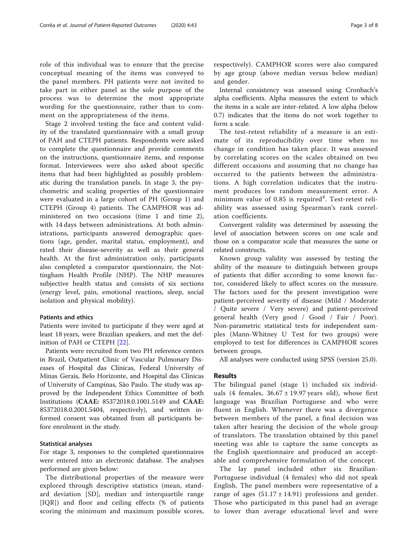role of this individual was to ensure that the precise conceptual meaning of the items was conveyed to the panel members. PH patients were not invited to take part in either panel as the sole purpose of the process was to determine the most appropriate wording for the questionnaire, rather than to comment on the appropriateness of the items.

Stage 2 involved testing the face and content validity of the translated questionnaire with a small group of PAH and CTEPH patients. Respondents were asked to complete the questionnaire and provide comments on the instructions, questionnaire items, and response format. Interviewees were also asked about specific items that had been highlighted as possibly problematic during the translation panels. In stage 3, the psychometric and scaling properties of the questionnaire were evaluated in a large cohort of PH (Group 1) and CTEPH (Group 4) patients. The CAMPHOR was administered on two occasions (time 1 and time 2), with 14 days between administrations. At both administrations, participants answered demographic questions (age, gender, marital status, employment), and rated their disease-severity as well as their general health. At the first administration only, participants also completed a comparator questionnaire, the Nottingham Health Profile (NHP). The NHP measures subjective health status and consists of six sections (energy level, pain, emotional reactions, sleep, social isolation and physical mobility).

# Patients and ethics

Patients were invited to participate if they were aged at least 18 years, were Brazilian speakers, and met the definition of PAH or CTEPH [[22\]](#page-7-0).

Patients were recruited from two PH reference centers in Brazil, Outpatient Clinic of Vascular Pulmonary Diseases of Hospital das Clínicas, Federal University of Minas Gerais, Belo Horizonte, and Hospital das Clínicas of University of Campinas, São Paulo. The study was approved by the Independent Ethics Committee of both Institutions (CAAE: 85372018.0.1001.5149 and CAAE: 85372018.0.2001.5404, respectively), and written informed consent was obtained from all participants before enrolment in the study.

## Statistical analyses

For stage 3, responses to the completed questionnaires were entered into an electronic database. The analyses performed are given below:

The distributional properties of the measure were explored through descriptive statistics (mean, standard deviation [SD], median and interquartile range [IQR]) and floor and ceiling effects (% of patients scoring the minimum and maximum possible scores,

respectively). CAMPHOR scores were also compared by age group (above median versus below median) and gender.

Internal consistency was assessed using Cronbach's alpha coefficients. Alpha measures the extent to which the items in a scale are inter-related. A low alpha (below 0.7) indicates that the items do not work together to form a scale.

The test-retest reliability of a measure is an estimate of its reproducibility over time when no change in condition has taken place. It was assessed by correlating scores on the scales obtained on two different occasions and assuming that no change has occurred to the patients between the administrations. A high correlation indicates that the instrument produces low random measurement error. A minimum value of  $0.85$  is required<sup>4</sup>. Test-retest reliability was assessed using Spearman's rank correlation coefficients.

Convergent validity was determined by assessing the level of association between scores on one scale and those on a comparator scale that measures the same or related constructs.

Known group validity was assessed by testing the ability of the measure to distinguish between groups of patients that differ according to some known factor, considered likely to affect scores on the measure. The factors used for the present investigation were patient-perceived severity of disease (Mild / Moderate / Quite severe / Very severe) and patient-perceived general health (Very good / Good / Fair / Poor). Non-parametric statistical tests for independent samples (Mann-Whitney U Test for two groups) were employed to test for differences in CAMPHOR scores between groups.

All analyses were conducted using SPSS (version 25.0).

# Results

The bilingual panel (stage 1) included six individuals (4 females,  $36.67 \pm 19.97$  years old), whose first language was Brazilian Portuguese and who were fluent in English. Whenever there was a divergence between members of the panel, a final decision was taken after hearing the decision of the whole group of translators. The translation obtained by this panel meeting was able to capture the same concepts as the English questionnaire and produced an acceptable and comprehensive formulation of the concept.

The lay panel included other six Brazilian-Portuguese individual (4 females) who did not speak English. The panel members were representative of a range of ages  $(51.17 \pm 14.91)$  professions and gender. Those who participated in this panel had an average to lower than average educational level and were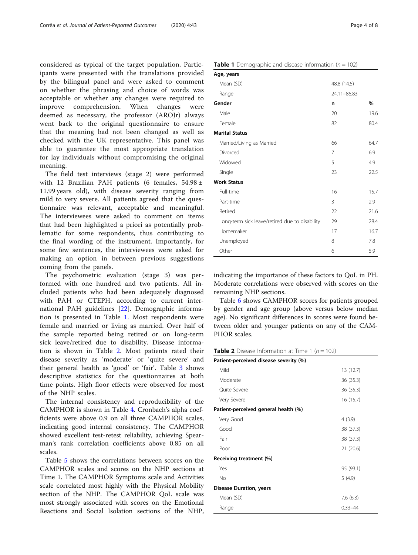considered as typical of the target population. Participants were presented with the translations provided by the bilingual panel and were asked to comment on whether the phrasing and choice of words was acceptable or whether any changes were required to improve comprehension. When changes were deemed as necessary, the professor (AROJr) always went back to the original questionnaire to ensure that the meaning had not been changed as well as checked with the UK representative. This panel was able to guarantee the most appropriate translation for lay individuals without compromising the original meaning.

The field test interviews (stage 2) were performed with 12 Brazilian PAH patients (6 females, 54.98 ± 11.99 years old), with disease severity ranging from mild to very severe. All patients agreed that the questionnaire was relevant, acceptable and meaningful. The interviewees were asked to comment on items that had been highlighted a priori as potentially problematic for some respondents, thus contributing to the final wording of the instrument. Importantly, for some few sentences, the interviewees were asked for making an option in between previous suggestions coming from the panels.

The psychometric evaluation (stage 3) was performed with one hundred and two patients. All included patients who had been adequately diagnosed with PAH or CTEPH, according to current international PAH guidelines [[22\]](#page-7-0). Demographic information is presented in Table 1. Most respondents were female and married or living as married. Over half of the sample reported being retired or on long-term sick leave/retired due to disability. Disease information is shown in Table 2. Most patients rated their disease severity as 'moderate' or 'quite severe' and their general health as 'good' or 'fair'. Table [3](#page-4-0) shows descriptive statistics for the questionnaires at both time points. High floor effects were observed for most of the NHP scales.

The internal consistency and reproducibility of the CAMPHOR is shown in Table [4.](#page-4-0) Cronbach's alpha coefficients were above 0.9 on all three CAMPHOR scales, indicating good internal consistency. The CAMPHOR showed excellent test-retest reliability, achieving Spearman's rank correlation coefficients above 0.85 on all scales.

Table [5](#page-4-0) shows the correlations between scores on the CAMPHOR scales and scores on the NHP sections at Time 1. The CAMPHOR Symptoms scale and Activities scale correlated most highly with the Physical Mobility section of the NHP. The CAMPHOR QoL scale was most strongly associated with scores on the Emotional Reactions and Social Isolation sections of the NHP,

| Age, years                |             |      |
|---------------------------|-------------|------|
| Mean (SD)                 | 48.8 (14.5) |      |
| Range                     | 24.11-86.83 |      |
| Gender                    | n           | $\%$ |
| Male                      | 20          | 19.6 |
| Female                    | 82          | 80.4 |
| <b>Marital Status</b>     |             |      |
| Married/Living as Married | 66          | 64.7 |
| Divorced                  | 7           | 6.9  |
| Widowed                   | 5           | 4.9  |
| Single                    | 23          | 22.5 |
| <b>Work Status</b>        |             |      |
| Full-time                 | 16          | 15.7 |
| Part-time                 | 3           | 2.9  |
| Retired                   | 22          | 21.6 |

indicating the importance of these factors to QoL in PH. Moderate correlations were observed with scores on the remaining NHP sections.

Long-term sick leave/retired due to disability 29 28.4 Homemaker 17 16.7 Unemployed 8 7.8 Other 6 5.9

Table [6](#page-5-0) shows CAMPHOR scores for patients grouped by gender and age group (above versus below median age). No significant differences in scores were found between older and younger patients on any of the CAM-PHOR scales.

**Table 2** Disease Information at Time 1 ( $n = 102$ )

| Patient-perceived disease severity (%) |             |
|----------------------------------------|-------------|
| Mild                                   | 13 (12.7)   |
| Moderate                               | 36 (35.3)   |
| Ouite Severe                           | 36 (35.3)   |
| Very Severe                            | 16 (15.7)   |
| Patient-perceived general health (%)   |             |
| Very Good                              | 4(3.9)      |
| Good                                   | 38 (37.3)   |
| Fair                                   | 38 (37.3)   |
| Poor                                   | 21(20.6)    |
| Receiving treatment (%)                |             |
| Yes                                    | 95 (93.1)   |
| No                                     | 5(4.9)      |
| <b>Disease Duration, years</b>         |             |
| Mean (SD)                              | 7.6(6.3)    |
| Range                                  | $0.33 - 44$ |

# **Table 1** Demographic and disease information ( $n = 102$ )

 $\Delta$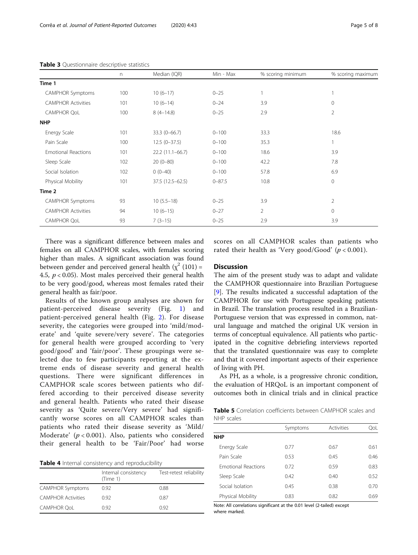|                            | $\Gamma$ | Median (IQR)      | Min - Max  | % scoring minimum | % scoring maximum |
|----------------------------|----------|-------------------|------------|-------------------|-------------------|
| Time 1                     |          |                   |            |                   |                   |
| <b>CAMPHOR Symptoms</b>    | 100      | $10(6-17)$        | $0 - 25$   | 1                 |                   |
| <b>CAMPHOR Activities</b>  | 101      | $10(6-14)$        | $0 - 24$   | 3.9               | $\mathbf 0$       |
| <b>CAMPHOR QoL</b>         | 100      | $8(4-14.8)$       | $0 - 25$   | 2.9               | $\overline{2}$    |
| <b>NHP</b>                 |          |                   |            |                   |                   |
| Energy Scale               | 101      | $33.3(0-66.7)$    | $0 - 100$  | 33.3              | 18.6              |
| Pain Scale                 | 100      | $12.5(0-37.5)$    | $0 - 100$  | 35.3              |                   |
| <b>Emotional Reactions</b> | 101      | $22.2(11.1-66.7)$ | $0 - 100$  | 18.6              | 3.9               |
| Sleep Scale                | 102      | $20(0-80)$        | $0 - 100$  | 42.2              | 7.8               |
| Social Isolation           | 102      | $0(0-40)$         | $0 - 100$  | 57.8              | 6.9               |
| Physical Mobility          | 101      | 37.5 (12.5-62.5)  | $0 - 87.5$ | 10.8              | $\mathbf{0}$      |
| Time 2                     |          |                   |            |                   |                   |
| <b>CAMPHOR Symptoms</b>    | 93       | $10(5.5-18)$      | $0 - 25$   | 3.9               | $\overline{2}$    |
| <b>CAMPHOR Activities</b>  | 94       | $10(6-15)$        | $0 - 27$   | $\overline{2}$    | $\mathbf{0}$      |
| <b>CAMPHOR QoL</b>         | 93       | $7(3-15)$         | $0 - 25$   | 2.9               | 3.9               |

<span id="page-4-0"></span>Table 3 Questionnaire descriptive statistics

There was a significant difference between males and females on all CAMPHOR scales, with females scoring higher than males. A significant association was found between gender and perceived general health  $(\chi^2 (101) =$ 4.5,  $p < 0.05$ ). Most males perceived their general health to be very good/good, whereas most females rated their general health as fair/poor.

Results of the known group analyses are shown for patient-perceived disease severity (Fig. [1\)](#page-5-0) and patient-perceived general health (Fig. [2\)](#page-6-0). For disease severity, the categories were grouped into 'mild/moderate' and 'quite severe/very severe'. The categories for general health were grouped according to 'very good/good' and 'fair/poor'. These groupings were selected due to few participants reporting at the extreme ends of disease severity and general health questions. There were significant differences in CAMPHOR scale scores between patients who differed according to their perceived disease severity and general health. Patients who rated their disease severity as 'Quite severe/Very severe' had significantly worse scores on all CAMPHOR scales than patients who rated their disease severity as 'Mild/ Moderate'  $(p < 0.001)$ . Also, patients who considered their general health to be 'Fair/Poor' had worse

|  |  |  |  | Table 4 Internal consistency and reproducibility |  |
|--|--|--|--|--------------------------------------------------|--|
|--|--|--|--|--------------------------------------------------|--|

|                           | Internal consistency<br>(Time 1) | Test-retest reliability |
|---------------------------|----------------------------------|-------------------------|
| <b>CAMPHOR Symptoms</b>   | 0.92                             | 0.88                    |
| <b>CAMPHOR Activities</b> | 0.92                             | 0.87                    |
| <b>CAMPHOR OoL</b>        | 0.92                             | 0.92                    |

scores on all CAMPHOR scales than patients who rated their health as 'Very good/Good'  $(p < 0.001)$ .

### **Discussion**

The aim of the present study was to adapt and validate the CAMPHOR questionnaire into Brazilian Portuguese [[9\]](#page-7-0). The results indicated a successful adaptation of the CAMPHOR for use with Portuguese speaking patients in Brazil. The translation process resulted in a Brazilian-Portuguese version that was expressed in common, natural language and matched the original UK version in terms of conceptual equivalence. All patients who participated in the cognitive debriefing interviews reported that the translated questionnaire was easy to complete and that it covered important aspects of their experience of living with PH.

As PH, as a whole, is a progressive chronic condition, the evaluation of HRQoL is an important component of outcomes both in clinical trials and in clinical practice

Table 5 Correlation coefficients between CAMPHOR scales and NHP scales

|                            | Symptoms | Activities | OoL  |
|----------------------------|----------|------------|------|
| <b>NHP</b>                 |          |            |      |
| Energy Scale               | 0.77     | 0.67       | 0.61 |
| Pain Scale                 | 0.53     | 0.45       | 0.46 |
| <b>Emotional Reactions</b> | 0.72     | 0.59       | 0.83 |
| Sleep Scale                | 0.42     | 0.40       | 0.52 |
| Social Isolation           | 0.45     | 0.38       | 0.70 |
| Physical Mobility          | 0.83     | 0.82       | 0.69 |

Note: All correlations significant at the 0.01 level (2-tailed) except where marked.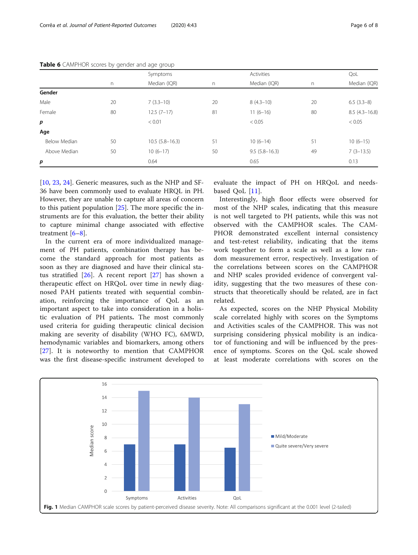|                  |    | Symptoms         | Activities |                   |    | QoL               |
|------------------|----|------------------|------------|-------------------|----|-------------------|
|                  | n  | Median (IQR)     | n          | Median (IQR)      | n  | Median (IQR)      |
| Gender           |    |                  |            |                   |    |                   |
| Male             | 20 | $7(3.3-10)$      | 20         | $8(4.3-10)$       | 20 | $6.5(3.3-8)$      |
| Female           | 80 | $12.5(7-17)$     | 81         | $11(6-16)$        | 80 | $8.5(4.3 - 16.8)$ |
| $\boldsymbol{p}$ |    | < 0.01           |            | < 0.05            |    | < 0.05            |
| Age              |    |                  |            |                   |    |                   |
| Below Median     | 50 | $10.5(5.8-16.3)$ | 51         | $10(6-14)$        | 51 | $10(6-15)$        |
| Above Median     | 50 | $10(6-17)$       | 50         | $9.5(5.8 - 16.3)$ | 49 | $7(3-13.5)$       |
| p                |    | 0.64             |            | 0.65              |    | 0.13              |
|                  |    |                  |            |                   |    |                   |

<span id="page-5-0"></span>Table 6 CAMPHOR scores by gender and age group

[[10,](#page-7-0) [23,](#page-7-0) [24\]](#page-7-0). Generic measures, such as the NHP and SF-36 have been commonly used to evaluate HRQL in PH. However, they are unable to capture all areas of concern to this patient population [[25\]](#page-7-0). The more specific the instruments are for this evaluation, the better their ability to capture minimal change associated with effective treatment [[6](#page-7-0)–[8\]](#page-7-0).

In the current era of more individualized management of PH patients, combination therapy has become the standard approach for most patients as soon as they are diagnosed and have their clinical status stratified [\[26](#page-7-0)]. A recent report [[27](#page-7-0)] has shown a therapeutic effect on HRQoL over time in newly diagnosed PAH patients treated with sequential combination, reinforcing the importance of QoL as an important aspect to take into consideration in a holistic evaluation of PH patients. The most commonly used criteria for guiding therapeutic clinical decision making are severity of disability (WHO FC), 6MWD, hemodynamic variables and biomarkers, among others [[27\]](#page-7-0). It is noteworthy to mention that CAMPHOR was the first disease-specific instrument developed to

evaluate the impact of PH on HRQoL and needsbased QoL [[11\]](#page-7-0).

Interestingly, high floor effects were observed for most of the NHP scales, indicating that this measure is not well targeted to PH patients, while this was not observed with the CAMPHOR scales. The CAM-PHOR demonstrated excellent internal consistency and test-retest reliability, indicating that the items work together to form a scale as well as a low random measurement error, respectively. Investigation of the correlations between scores on the CAMPHOR and NHP scales provided evidence of convergent validity, suggesting that the two measures of these constructs that theoretically should be related, are in fact related.

As expected, scores on the NHP Physical Mobility scale correlated highly with scores on the Symptoms and Activities scales of the CAMPHOR. This was not surprising considering physical mobility is an indicator of functioning and will be influenced by the presence of symptoms. Scores on the QoL scale showed at least moderate correlations with scores on the

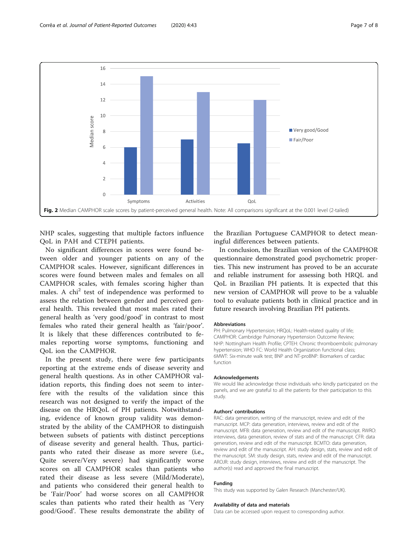<span id="page-6-0"></span>

NHP scales, suggesting that multiple factors influence QoL in PAH and CTEPH patients.

No significant differences in scores were found between older and younger patients on any of the CAMPHOR scales. However, significant differences in scores were found between males and females on all CAMPHOR scales, with females scoring higher than males. A  $\chi$ chi<sup>2</sup> test of independence was performed to assess the relation between gender and perceived general health. This revealed that most males rated their general health as 'very good/good' in contrast to most females who rated their general health as 'fair/poor'. It is likely that these differences contributed to females reporting worse symptoms, functioning and QoL ion the CAMPHOR.

In the present study, there were few participants reporting at the extreme ends of disease severity and general health questions. As in other CAMPHOR validation reports, this finding does not seem to interfere with the results of the validation since this research was not designed to verify the impact of the disease on the HRQoL of PH patients. Notwithstanding, evidence of known group validity was demonstrated by the ability of the CAMPHOR to distinguish between subsets of patients with distinct perceptions of disease severity and general health. Thus, participants who rated their disease as more severe (i.e., Quite severe/Very severe) had significantly worse scores on all CAMPHOR scales than patients who rated their disease as less severe (Mild/Moderate), and patients who considered their general health to be 'Fair/Poor' had worse scores on all CAMPHOR scales than patients who rated their health as 'Very good/Good'. These results demonstrate the ability of the Brazilian Portuguese CAMPHOR to detect meaningful differences between patients.

In conclusion, the Brazilian version of the CAMPHOR questionnaire demonstrated good psychometric properties. This new instrument has proved to be an accurate and reliable instrument for assessing both HRQL and QoL in Brazilian PH patients. It is expected that this new version of CAMPHOR will prove to be a valuable tool to evaluate patients both in clinical practice and in future research involving Brazilian PH patients.

#### **Abbreviations**

PH: Pulmonary Hypertension; HRQoL: Health-related quality of life; CAMPHOR: Cambridge Pulmonary Hypertension Outcome Review; NHP: Nottingham Health Profile; CPTEH: Chronic thromboembolic pulmonary hypertension; WHO FC: World Health Organization functional class; 6MWT: Six-minute walk test; BNP and NT-proBNP: Biomarkers of cardiac function

#### Acknowledgements

We would like acknowledge those individuals who kindly participated on the panels, and we are grateful to all the patients for their participation to this study.

#### Authors' contributions

RAC: data generation, writing of the manuscript, review and edit of the manuscript. MCP: data generation, interviews, review and edit of the manuscript. MFB: data generation, review and edit of the manuscript. RWRO: interviews, data generation, review of stats and of the manuscript. CFR: data generation, review and edit of the manuscript. BCMTO: data generation, review and edit of the manuscript. AH: study design, stats, review and edit of the manuscript. SM: study design, stats, review and edit of the manuscript. AROJR: study design, interviews, review and edit of the manuscript. The author(s) read and approved the final manuscript.

#### Funding

This study was supported by Galen Research (Manchester/UK).

#### Availability of data and materials

Data can be accessed upon request to corresponding author.